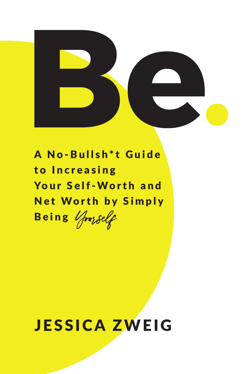

A No-Bullsh\*t Guide to Increasing Your Self-Worth and **Net Worth by Simply** Being Yourself

# **JESSICA ZWEIG**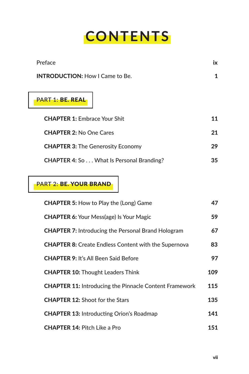# **CONTENTS**

| Preface                                         | iх |
|-------------------------------------------------|----|
| <b>INTRODUCTION:</b> How I Came to Be.          | 1  |
| <b>PART 1: BE. REAL</b>                         |    |
| <b>CHAPTER 1: Embrace Your Shit</b>             | 11 |
| <b>CHAPTER 2: No One Cares</b>                  | 21 |
| <b>CHAPTER 3: The Generosity Economy</b>        | 29 |
| <b>CHAPTER 4: So What Is Personal Branding?</b> | 35 |

#### **PART 2: BE. YOUR BRAND**

| <b>CHAPTER 5: How to Play the (Long) Game</b>                 | 47  |
|---------------------------------------------------------------|-----|
| <b>CHAPTER 6: Your Mess(age) Is Your Magic</b>                | 59  |
| <b>CHAPTER 7: Introducing the Personal Brand Hologram</b>     | 67  |
| <b>CHAPTER 8: Create Endless Content with the Supernova</b>   | 83  |
| <b>CHAPTER 9: It's All Been Said Before</b>                   | 97  |
| <b>CHAPTER 10: Thought Leaders Think</b>                      | 109 |
| <b>CHAPTER 11: Introducing the Pinnacle Content Framework</b> | 115 |
| <b>CHAPTER 12: Shoot for the Stars</b>                        | 135 |
| <b>CHAPTER 13: Introducting Orion's Roadmap</b>               | 141 |
| <b>CHAPTER 14: Pitch Like a Pro</b>                           | 151 |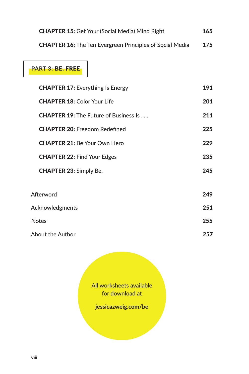| <b>CHAPTER 15: Get Your (Social Media) Mind Right</b> | 165 |
|-------------------------------------------------------|-----|
|                                                       |     |

**CHAPTER 16:** The Ten Evergreen Principles of Social Media 175

**PART 3: BE. FREE** 

| <b>CHAPTER 17: Everything Is Energy</b>               | 191 |
|-------------------------------------------------------|-----|
| <b>CHAPTER 18: Color Your Life</b>                    | 201 |
| <b>CHAPTER 19:</b> The Future of Business Is $\ldots$ | 211 |
| <b>CHAPTER 20: Freedom Redefined</b>                  | 225 |
| <b>CHAPTER 21: Be Your Own Hero</b>                   | 229 |
| <b>CHAPTER 22: Find Your Edges</b>                    | 235 |
| <b>CHAPTER 23: Simply Be.</b>                         | 245 |
|                                                       |     |
| Afterword                                             | 249 |
| Acknowledgments                                       | 251 |
| <b>Notes</b>                                          | 255 |
| About the Author                                      | 257 |

All worksheets available for download at

jessicazweig.com/be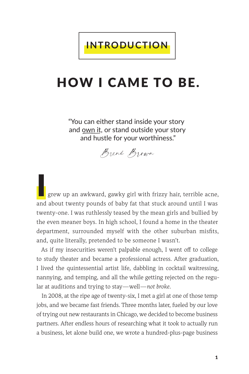### **INTRODUCTION**

### HOW I CAME TO BE.

"You can either stand inside your story and own it, or stand outside your story and hustle for your worthiness."



grew up an awkward, gawky girl with frizzy hair, terrible acne, and about twenty pounds of baby fat that stuck around until I was twenty-one. I was ruthlessly teased by the mean girls and bullied by the even meaner boys. In high school, I found a home in the theater department, surrounded myself with the other suburban misfits, and, quite literally, pretended to be someone I wasn't.

As if my insecurities weren't palpable enough, I went off to college to study theater and became a professional actress. After graduation, I lived the quintessential artist life, dabbling in cocktail waitressing, nannying, and temping, and all the while getting rejected on the regular at auditions and trying to stay—well—*not broke*.

In 2008, at the ripe age of twenty-six, I met a girl at one of those temp jobs, and we became fast friends. Three months later, fueled by our love of trying out new restaurants in Chicago, we decided to become business partners. After endless hours of researching what it took to actually run a business, let alone build one, we wrote a hundred-plus-page business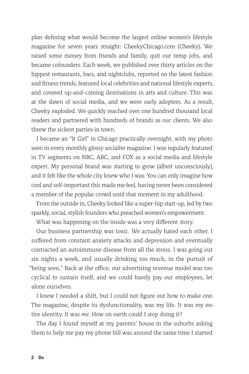plan defining what would become the largest online women's lifestyle magazine for seven years straight: CheekyChicago.com (Cheeky). We raised some money from friends and family, quit our temp jobs, and became cofounders. Each week, we published over thirty articles on the hippest restaurants, bars, and nightclubs, reported on the latest fashion and fitness trends, featured local celebrities and national lifestyle experts, and covered up-and-coming destinations in arts and culture. This was at the dawn of social media, and we were early adopters. As a result, Cheeky exploded. We quickly reached over one hundred thousand local readers and partnered with hundreds of brands as our clients. We also threw the sickest parties in town.

I became an "It Girl" in Chicago practically overnight, with my photo seen in every monthly glossy socialite magazine. I was regularly featured in TV segments on NBC, ABC, and FOX as a social media and lifestyle expert. My personal brand was starting to grow (albeit unconsciously), and it felt like the whole city knew who I was. You can only imagine how cool and self-important this made me feel, having never been considered a member of the popular crowd until that moment in my adulthood.

From the outside in, Cheeky looked like a super-hip start-up, led by two sparkly, social, stylish founders who preached women's empowerment.

What was happening on the inside was a very different story.

Our business partnership was toxic. We actually hated each other. I suffered from constant anxiety attacks and depression and eventually contracted an autoimmune disease from all the stress. I was going out six nights a week, and usually drinking too much, in the pursuit of "being seen." Back at the office, our advertising revenue model was too cyclical to sustain itself, and we could barely pay our employees, let alone ourselves.

I knew I needed a shift, but I could not figure out how to make one. The magazine, despite its dysfunctionality, was my life. It was my entire identity. It was *me*. How on earth could I stop doing it?

The day I found myself at my parents' house in the suburbs asking them to help me pay my phone bill was around the same time I started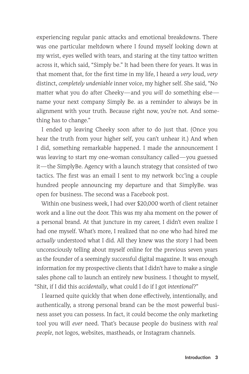experiencing regular panic attacks and emotional breakdowns. There was one particular meltdown where I found myself looking down at my wrist, eyes welled with tears, and staring at the tiny tattoo written across it, which said, "Simply be." It had been there for years. It was in that moment that, for the first time in my life, I heard a *very* loud, *very* distinct, *completely undeniable* inner voice, my higher self. She said, "No matter what you do after Cheeky—and you *will* do something else name your next company Simply Be. as a reminder to always be in alignment with your truth. Because right now, you're not. And something has to change."

I ended up leaving Cheeky soon after to do just that. (Once you hear the truth from your higher self, you can't unhear it.) And when I did, something remarkable happened. I made the announcement I was leaving to start my one-woman consultancy called—you guessed it—the SimplyBe. Agency with a launch strategy that consisted of two tactics. The first was an email I sent to my network bcc'ing a couple hundred people announcing my departure and that SimplyBe. was open for business. The second was a Facebook post.

Within one business week, I had over \$20,000 worth of client retainer work and a line out the door. This was my aha moment on the power of a personal brand. At that juncture in my career, I didn't even realize I had one myself. What's more, I realized that no one who had hired me *actually* understood what I did. All they knew was the story I had been unconsciously telling about myself online for the previous seven years as the founder of a seemingly successful digital magazine. It was enough information for my prospective clients that I didn't have to make a single sales phone call to launch an entirely new business. I thought to myself, "Shit, if I did this *accidentally*, what could I do if I got *intentional*?"

I learned quite quickly that when done effectively, intentionally, and authentically, a strong personal brand can be the most powerful business asset you can possess. In fact, it could become the only marketing tool you will *ever* need. That's because people do business with *real people*, not logos, websites, mastheads, or Instagram channels.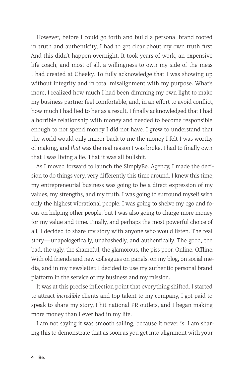However, before I could go forth and build a personal brand rooted in truth and authenticity, I had to get clear about my own truth first. And this didn't happen overnight. It took years of work, an expensive life coach, and most of all, a willingness to own my side of the mess I had created at Cheeky. To fully acknowledge that I was showing up without integrity and in total misalignment with my purpose. What's more, I realized how much I had been dimming my own light to make my business partner feel comfortable, and, in an effort to avoid conflict, how much I had lied to her as a result. I finally acknowledged that I had a horrible relationship with money and needed to become responsible enough to not spend money I did not have. I grew to understand that the world would only mirror back to me the money I felt I was worthy of making, and *that* was the real reason I was broke. I had to finally own that I was living a lie. That it was all bullshit.

As I moved forward to launch the SimplyBe. Agency, I made the decision to do things very, very differently this time around. I knew this time, my entrepreneurial business was going to be a direct expression of my values, my strengths, and my truth. I was going to surround myself with only the highest vibrational people. I was going to shelve my ego and focus on helping other people, but I was also going to charge more money for my value and time. Finally, and perhaps the most powerful choice of all, I decided to share my story with anyone who would listen. The real story—unapologetically, unabashedly, and authentically. The good, the bad, the ugly, the shameful, the glamorous, the piss poor. Online. Offline. With old friends and new colleagues on panels, on my blog, on social media, and in my newsletter. I decided to use my authentic personal brand platform in the service of my business and my mission.

It was at this precise inflection point that everything shifted. I started to attract *incredible* clients and top talent to my company, I got paid to speak to share my story, I hit national PR outlets, and I began making more money than I ever had in my life.

I am not saying it was smooth sailing, because it never is. I am sharing this to demonstrate that as soon as you get into alignment with your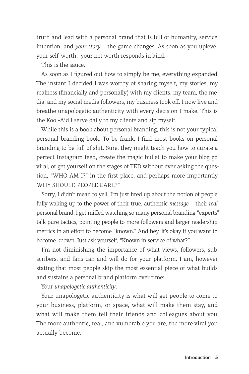truth and lead with a personal brand that is full of humanity, service, intention, and *your story*—the game changes. As soon as you uplevel your self-worth, your net worth responds in kind.

This is the sauce.

As soon as I figured out how to simply be me, everything expanded. The instant I decided I was worthy of sharing myself, my stories, my realness (financially and personally) with my clients, my team, the media, and my social media followers, my business took off. I now live and breathe unapologetic authenticity with every decision I make. This is the Kool-Aid I serve daily to my clients and sip myself.

While this is a book about personal branding, this is not your typical personal branding book. To be frank, I find most books on personal branding to be full of shit. Sure, they might teach you how to curate a perfect Instagram feed, create the magic bullet to make your blog go viral, or get yourself on the stages of TED without ever asking the question, "WHO AM I?" in the first place, and perhaps more importantly, "WHY SHOULD PEOPLE CARE?"

Sorry, I didn't mean to yell. I'm just fired up about the notion of people fully waking up to the power of their true, authentic *message*—their *real* personal brand. I get miffed watching so many personal branding "experts" talk pure tactics, pointing people to more followers and larger readership metrics in an effort to become "known." And hey, it's okay if you want to become known. Just ask yourself, "Known in service of what?"

I'm not diminishing the importance of what views, followers, subscribers, and fans can and will do for your platform. I am, however, stating that most people skip the most essential piece of what builds and sustains a personal brand platform over time:

Your *unapologetic authenticity*.

Your unapologetic authenticity is what will get people to come to your business, platform, or space, what will make them stay, and what will make them tell their friends and colleagues about you. The more authentic, real, and vulnerable you are, the more viral you actually become.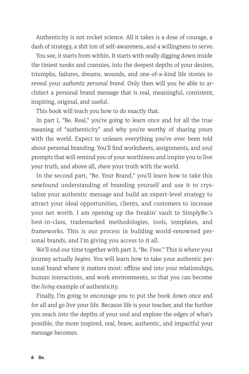Authenticity is not rocket science. All it takes is a dose of courage, a dash of strategy, a shit ton of self-awareness, and a willingness to serve.

You see, it starts from within. It starts with really digging down inside the tiniest nooks and crannies, into the deepest depths of your desires, triumphs, failures, dreams, wounds, and one-of-a-kind life stories to reveal your *authentic personal brand*. Only then will you be able to architect a personal brand message that is real, meaningful, consistent, inspiring, original, and useful.

This book will teach you how to do exactly that.

In part 1, "Be. Real," you're going to learn once and for all the true meaning of "authenticity" and why you're worthy of sharing yours with the world. Expect to unlearn everything you've ever been told about personal branding. You'll find worksheets, assignments, and soul prompts that will remind you of your worthiness and inspire you to live your truth, and above all, *share* your truth with the world.

In the second part, "Be. Your Brand," you'll learn how to take this newfound understanding of branding yourself and use it to crystalize your authentic message and build an expert-level strategy to attract your ideal opportunities, clients, and customers to increase your net worth. I am opening up the freakin' vault to SimplyBe.'s best-in-class, trademarked methodologies, tools, templates, and frameworks. This is our process in building world-renowned personal brands, and I'm giving you access to it all.

We'll end our time together with part 3, "Be. Free." This is where your journey actually *begins*. You will learn how to take your authentic personal brand where it matters most: offline and into your relationships, human interactions, and work environments, so that you can become the *living* example of authenticity.

Finally, I'm going to encourage you to put the book down once and for all and go live your life. Because life is your teacher, and the further you reach into the depths of your soul and explore the edges of what's possible, the more inspired, real, brave, authentic, and impactful your message becomes.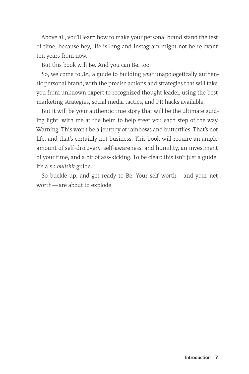Above all, you'll learn how to make your personal brand stand the test of time, because hey, life is long and Instagram might not be relevant ten years from now.

But this book will Be. And you can Be. too.

So, welcome to *Be.*, a guide to building *your* unapologetically authentic personal brand, with the precise actions and strategies that will take you from unknown expert to recognized thought leader, using the best marketing strategies, social media tactics, and PR hacks available.

But it will be your authentic true story that will be the ultimate guiding light, with me at the helm to help steer you each step of the way. Warning: This won't be a journey of rainbows and butterflies. That's not life, and that's certainly not business. This book will require an ample amount of self-discovery, self-awareness, and humility, an investment of your time, and a bit of ass-kicking. To be clear: this isn't just a guide; it's a *no bullshit* guide.

So buckle up, and get ready to Be. Your self-worth—and your net worth—are about to explode.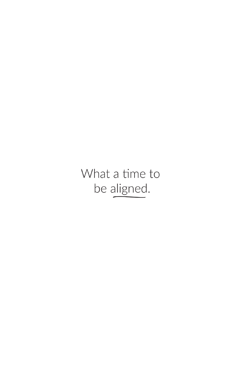What a time to be aligned.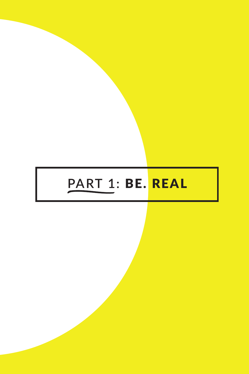## **PART 1:** BE. REAL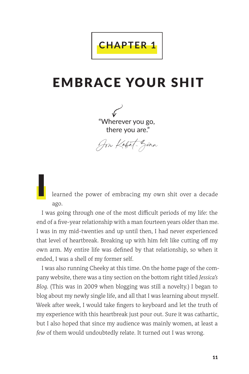

### EMBRACE YOUR SHIT

"Wherever you go,

there you are."

Jon Kabat-Zinn

learned the power of embracing my own shit over a decade ago.

I was going through one of the most difficult periods of my life: the end of a five-year relationship with a man fourteen years older than me. I was in my mid-twenties and up until then, I had never experienced that level of heartbreak. Breaking up with him felt like cutting off my own arm. My entire life was defined by that relationship, so when it ended, I was a shell of my former self.

I was also running Cheeky at this time. On the home page of the company website, there was a tiny section on the bottom right titled *Jessica's Blog*. (This was in 2009 when blogging was still a novelty.) I began to blog about my newly single life, and all that I was learning about myself. Week after week, I would take fingers to keyboard and let the truth of my experience with this heartbreak just pour out. Sure it was cathartic, but I also hoped that since my audience was mainly women, at least a *few* of them would undoubtedly relate. It turned out I was wrong.